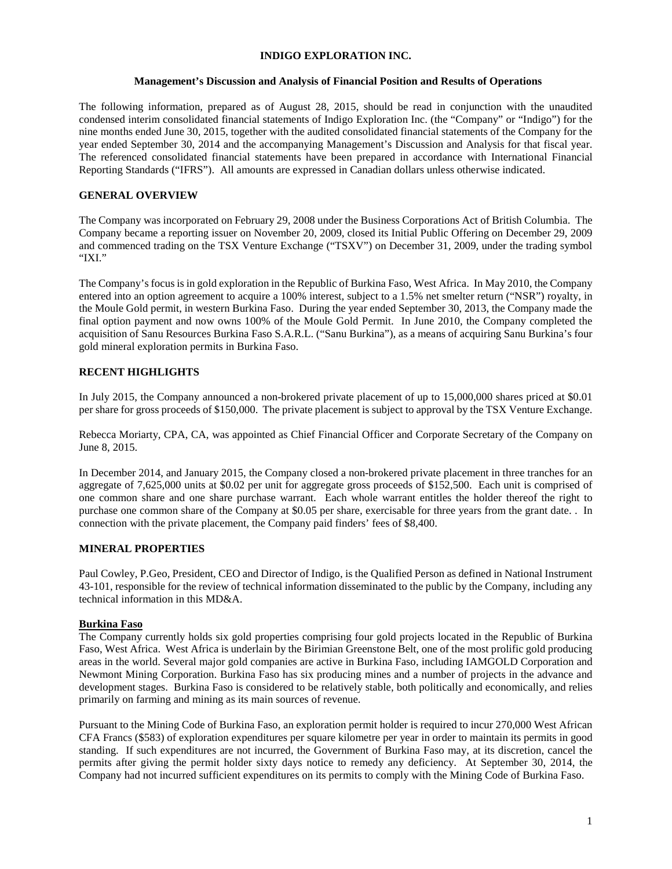### **INDIGO EXPLORATION INC.**

## **Management's Discussion and Analysis of Financial Position and Results of Operations**

The following information, prepared as of August 28, 2015, should be read in conjunction with the unaudited condensed interim consolidated financial statements of Indigo Exploration Inc. (the "Company" or "Indigo") for the nine months ended June 30, 2015, together with the audited consolidated financial statements of the Company for the year ended September 30, 2014 and the accompanying Management's Discussion and Analysis for that fiscal year. The referenced consolidated financial statements have been prepared in accordance with International Financial Reporting Standards ("IFRS"). All amounts are expressed in Canadian dollars unless otherwise indicated.

## **GENERAL OVERVIEW**

The Company was incorporated on February 29, 2008 under the Business Corporations Act of British Columbia. The Company became a reporting issuer on November 20, 2009, closed its Initial Public Offering on December 29, 2009 and commenced trading on the TSX Venture Exchange ("TSXV") on December 31, 2009, under the trading symbol "IXI."

The Company's focus is in gold exploration in the Republic of Burkina Faso, West Africa. In May 2010, the Company entered into an option agreement to acquire a 100% interest, subject to a 1.5% net smelter return ("NSR") royalty, in the Moule Gold permit, in western Burkina Faso. During the year ended September 30, 2013, the Company made the final option payment and now owns 100% of the Moule Gold Permit. In June 2010, the Company completed the acquisition of Sanu Resources Burkina Faso S.A.R.L. ("Sanu Burkina"), as a means of acquiring Sanu Burkina's four gold mineral exploration permits in Burkina Faso.

# **RECENT HIGHLIGHTS**

In July 2015, the Company announced a non-brokered private placement of up to 15,000,000 shares priced at \$0.01 per share for gross proceeds of \$150,000. The private placement is subject to approval by the TSX Venture Exchange.

Rebecca Moriarty, CPA, CA, was appointed as Chief Financial Officer and Corporate Secretary of the Company on June 8, 2015.

In December 2014, and January 2015, the Company closed a non-brokered private placement in three tranches for an aggregate of 7,625,000 units at \$0.02 per unit for aggregate gross proceeds of \$152,500. Each unit is comprised of one common share and one share purchase warrant. Each whole warrant entitles the holder thereof the right to purchase one common share of the Company at \$0.05 per share, exercisable for three years from the grant date. . In connection with the private placement, the Company paid finders' fees of \$8,400.

# **MINERAL PROPERTIES**

Paul Cowley, P.Geo, President, CEO and Director of Indigo, is the Qualified Person as defined in National Instrument 43-101, responsible for the review of technical information disseminated to the public by the Company, including any technical information in this MD&A.

## **Burkina Faso**

The Company currently holds six gold properties comprising four gold projects located in the Republic of Burkina Faso, West Africa. West Africa is underlain by the Birimian Greenstone Belt, one of the most prolific gold producing areas in the world. Several major gold companies are active in Burkina Faso, including IAMGOLD Corporation and Newmont Mining Corporation. Burkina Faso has six producing mines and a number of projects in the advance and development stages. Burkina Faso is considered to be relatively stable, both politically and economically, and relies primarily on farming and mining as its main sources of revenue.

Pursuant to the Mining Code of Burkina Faso, an exploration permit holder is required to incur 270,000 West African CFA Francs (\$583) of exploration expenditures per square kilometre per year in order to maintain its permits in good standing. If such expenditures are not incurred, the Government of Burkina Faso may, at its discretion, cancel the permits after giving the permit holder sixty days notice to remedy any deficiency. At September 30, 2014, the Company had not incurred sufficient expenditures on its permits to comply with the Mining Code of Burkina Faso.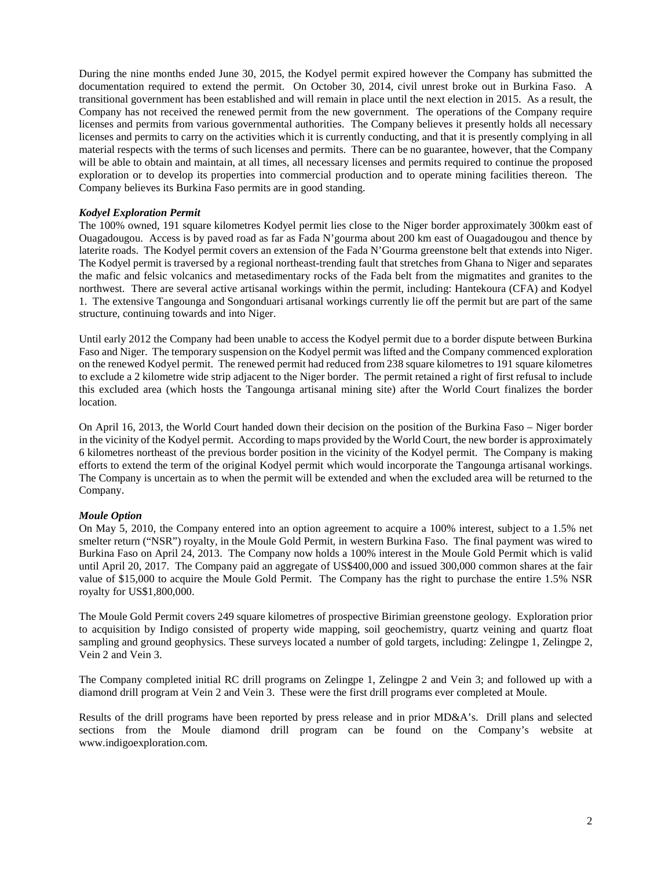During the nine months ended June 30, 2015, the Kodyel permit expired however the Company has submitted the documentation required to extend the permit. On October 30, 2014, civil unrest broke out in Burkina Faso. A transitional government has been established and will remain in place until the next election in 2015. As a result, the Company has not received the renewed permit from the new government. The operations of the Company require licenses and permits from various governmental authorities. The Company believes it presently holds all necessary licenses and permits to carry on the activities which it is currently conducting, and that it is presently complying in all material respects with the terms of such licenses and permits. There can be no guarantee, however, that the Company will be able to obtain and maintain, at all times, all necessary licenses and permits required to continue the proposed exploration or to develop its properties into commercial production and to operate mining facilities thereon. The Company believes its Burkina Faso permits are in good standing.

## *Kodyel Exploration Permit*

The 100% owned, 191 square kilometres Kodyel permit lies close to the Niger border approximately 300km east of Ouagadougou. Access is by paved road as far as Fada N'gourma about 200 km east of Ouagadougou and thence by laterite roads. The Kodyel permit covers an extension of the Fada N'Gourma greenstone belt that extends into Niger. The Kodyel permit is traversed by a regional northeast-trending fault that stretches from Ghana to Niger and separates the mafic and felsic volcanics and metasedimentary rocks of the Fada belt from the migmatites and granites to the northwest. There are several active artisanal workings within the permit, including: Hantekoura (CFA) and Kodyel 1. The extensive Tangounga and Songonduari artisanal workings currently lie off the permit but are part of the same structure, continuing towards and into Niger.

Until early 2012 the Company had been unable to access the Kodyel permit due to a border dispute between Burkina Faso and Niger. The temporary suspension on the Kodyel permit was lifted and the Company commenced exploration on the renewed Kodyel permit. The renewed permit had reduced from 238 square kilometres to 191 square kilometres to exclude a 2 kilometre wide strip adjacent to the Niger border. The permit retained a right of first refusal to include this excluded area (which hosts the Tangounga artisanal mining site) after the World Court finalizes the border location.

On April 16, 2013, the World Court handed down their decision on the position of the Burkina Faso – Niger border in the vicinity of the Kodyel permit. According to maps provided by the World Court, the new border is approximately 6 kilometres northeast of the previous border position in the vicinity of the Kodyel permit. The Company is making efforts to extend the term of the original Kodyel permit which would incorporate the Tangounga artisanal workings. The Company is uncertain as to when the permit will be extended and when the excluded area will be returned to the Company.

#### *Moule Option*

On May 5, 2010, the Company entered into an option agreement to acquire a 100% interest, subject to a 1.5% net smelter return ("NSR") royalty, in the Moule Gold Permit, in western Burkina Faso. The final payment was wired to Burkina Faso on April 24, 2013. The Company now holds a 100% interest in the Moule Gold Permit which is valid until April 20, 2017. The Company paid an aggregate of US\$400,000 and issued 300,000 common shares at the fair value of \$15,000 to acquire the Moule Gold Permit. The Company has the right to purchase the entire 1.5% NSR royalty for US\$1,800,000.

The Moule Gold Permit covers 249 square kilometres of prospective Birimian greenstone geology. Exploration prior to acquisition by Indigo consisted of property wide mapping, soil geochemistry, quartz veining and quartz float sampling and ground geophysics. These surveys located a number of gold targets, including: Zelingpe 1, Zelingpe 2, Vein 2 and Vein 3.

The Company completed initial RC drill programs on Zelingpe 1, Zelingpe 2 and Vein 3; and followed up with a diamond drill program at Vein 2 and Vein 3. These were the first drill programs ever completed at Moule.

Results of the drill programs have been reported by press release and in prior MD&A's. Drill plans and selected sections from the Moule diamond drill program can be found on the Company's website at [www.indigoexploration.com.](http://www.indigoexploration.com/)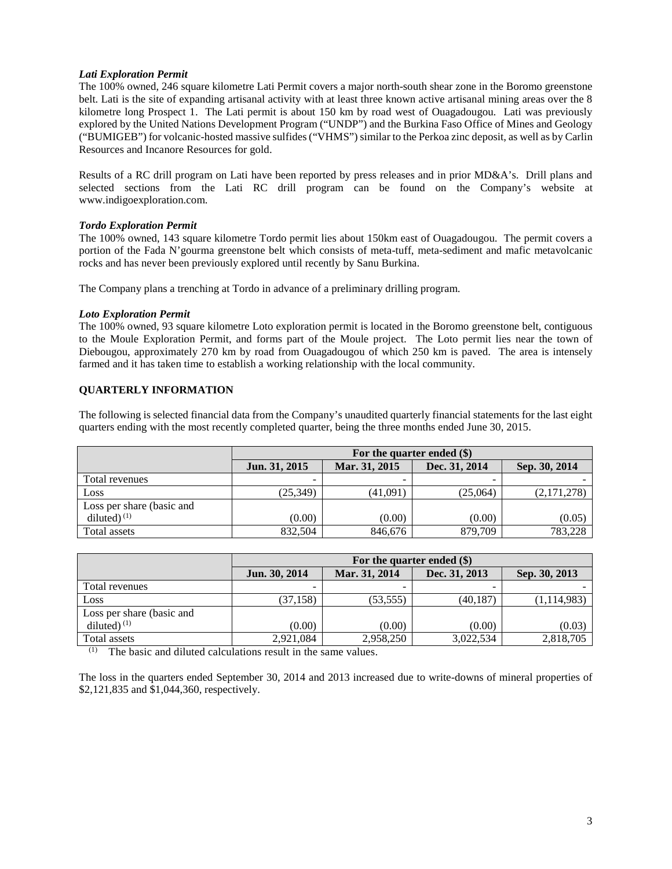## *Lati Exploration Permit*

The 100% owned, 246 square kilometre Lati Permit covers a major north-south shear zone in the Boromo greenstone belt. Lati is the site of expanding artisanal activity with at least three known active artisanal mining areas over the 8 kilometre long Prospect 1. The Lati permit is about 150 km by road west of Ouagadougou. Lati was previously explored by the United Nations Development Program ("UNDP") and the Burkina Faso Office of Mines and Geology ("BUMIGEB") for volcanic-hosted massive sulfides ("VHMS") similar to the Perkoa zinc deposit, as well as by Carlin Resources and Incanore Resources for gold.

Results of a RC drill program on Lati have been reported by press releases and in prior MD&A's. Drill plans and selected sections from the Lati RC drill program can be found on the Company's website at [www.indigoexploration.com.](http://www.indigoexploration.com/)

## *Tordo Exploration Permit*

The 100% owned, 143 square kilometre Tordo permit lies about 150km east of Ouagadougou. The permit covers a portion of the Fada N'gourma greenstone belt which consists of meta-tuff, meta-sediment and mafic metavolcanic rocks and has never been previously explored until recently by Sanu Burkina.

The Company plans a trenching at Tordo in advance of a preliminary drilling program.

## *Loto Exploration Permit*

The 100% owned, 93 square kilometre Loto exploration permit is located in the Boromo greenstone belt, contiguous to the Moule Exploration Permit, and forms part of the Moule project. The Loto permit lies near the town of Diebougou, approximately 270 km by road from Ouagadougou of which 250 km is paved. The area is intensely farmed and it has taken time to establish a working relationship with the local community.

# **QUARTERLY INFORMATION**

The following is selected financial data from the Company's unaudited quarterly financial statements for the last eight quarters ending with the most recently completed quarter, being the three months ended June 30, 2015.

|                           | For the quarter ended (\$) |               |               |               |
|---------------------------|----------------------------|---------------|---------------|---------------|
|                           | Jun. 31, 2015              | Mar. 31, 2015 | Dec. 31, 2014 | Sep. 30, 2014 |
| Total revenues            | ۰.                         |               | -             |               |
| Loss                      | (25, 349)                  | (41,091)      | (25,064)      | (2,171,278)   |
| Loss per share (basic and |                            |               |               |               |
| diluted) $(1)$            | (0.00)                     | (0.00)        | (0.00)        | (0.05)        |
| Total assets              | 832,504                    | 846,676       | 879,709       | 783,228       |

|                           | For the quarter ended $(\$)$ |               |               |               |
|---------------------------|------------------------------|---------------|---------------|---------------|
|                           | Jun. 30, 2014                | Mar. 31, 2014 | Dec. 31, 2013 | Sep. 30, 2013 |
| Total revenues            | $\overline{\phantom{0}}$     |               |               |               |
| Loss                      | (37, 158)                    | (53, 555)     | (40, 187)     | (1, 114, 983) |
| Loss per share (basic and |                              |               |               |               |
| diluted) $(1)$            | (0.00)                       | (0.00)        | (0.00)        | (0.03)        |
| Total assets              | 2,921,084                    | 2,958,250     | 3,022,534     | 2,818,705     |

(1) The basic and diluted calculations result in the same values.

The loss in the quarters ended September 30, 2014 and 2013 increased due to write-downs of mineral properties of \$2,121,835 and \$1,044,360, respectively.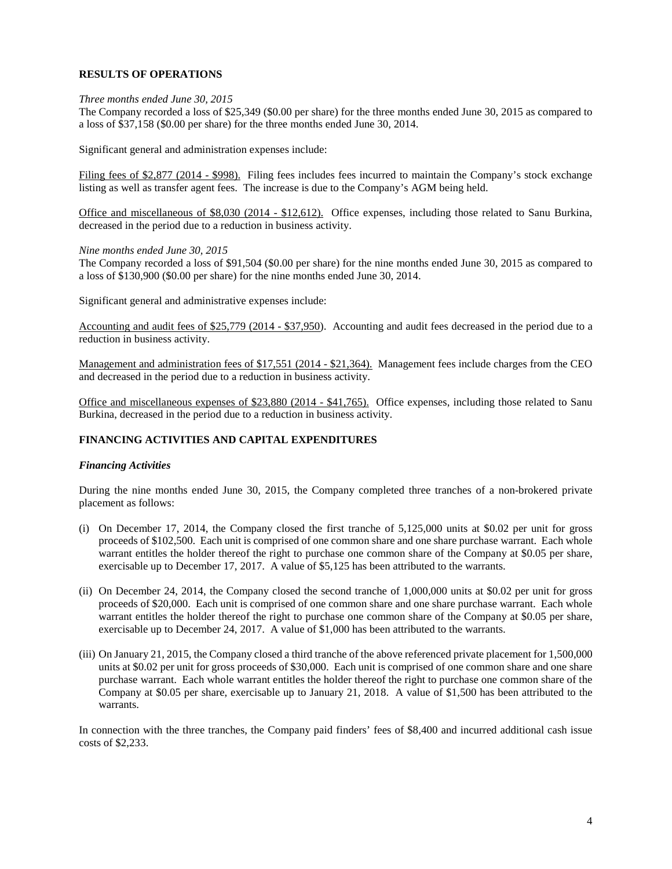## **RESULTS OF OPERATIONS**

#### *Three months ended June 30, 2015*

The Company recorded a loss of \$25,349 (\$0.00 per share) for the three months ended June 30, 2015 as compared to a loss of \$37,158 (\$0.00 per share) for the three months ended June 30, 2014.

Significant general and administration expenses include:

Filing fees of \$2,877 (2014 - \$998). Filing fees includes fees incurred to maintain the Company's stock exchange listing as well as transfer agent fees. The increase is due to the Company's AGM being held.

Office and miscellaneous of \$8,030 (2014 - \$12,612). Office expenses, including those related to Sanu Burkina, decreased in the period due to a reduction in business activity.

#### *Nine months ended June 30, 2015*

The Company recorded a loss of \$91,504 (\$0.00 per share) for the nine months ended June 30, 2015 as compared to a loss of \$130,900 (\$0.00 per share) for the nine months ended June 30, 2014.

Significant general and administrative expenses include:

Accounting and audit fees of \$25,779 (2014 - \$37,950). Accounting and audit fees decreased in the period due to a reduction in business activity.

Management and administration fees of \$17,551 (2014 - \$21,364). Management fees include charges from the CEO and decreased in the period due to a reduction in business activity.

Office and miscellaneous expenses of \$23,880 (2014 - \$41,765). Office expenses, including those related to Sanu Burkina, decreased in the period due to a reduction in business activity.

# **FINANCING ACTIVITIES AND CAPITAL EXPENDITURES**

#### *Financing Activities*

During the nine months ended June 30, 2015, the Company completed three tranches of a non-brokered private placement as follows:

- (i) On December 17, 2014, the Company closed the first tranche of 5,125,000 units at \$0.02 per unit for gross proceeds of \$102,500. Each unit is comprised of one common share and one share purchase warrant. Each whole warrant entitles the holder thereof the right to purchase one common share of the Company at \$0.05 per share, exercisable up to December 17, 2017. A value of \$5,125 has been attributed to the warrants.
- (ii) On December 24, 2014, the Company closed the second tranche of 1,000,000 units at \$0.02 per unit for gross proceeds of \$20,000. Each unit is comprised of one common share and one share purchase warrant. Each whole warrant entitles the holder thereof the right to purchase one common share of the Company at \$0.05 per share, exercisable up to December 24, 2017. A value of \$1,000 has been attributed to the warrants.
- (iii) On January 21, 2015, the Company closed a third tranche of the above referenced private placement for 1,500,000 units at \$0.02 per unit for gross proceeds of \$30,000. Each unit is comprised of one common share and one share purchase warrant. Each whole warrant entitles the holder thereof the right to purchase one common share of the Company at \$0.05 per share, exercisable up to January 21, 2018. A value of \$1,500 has been attributed to the warrants.

In connection with the three tranches, the Company paid finders' fees of \$8,400 and incurred additional cash issue costs of \$2,233.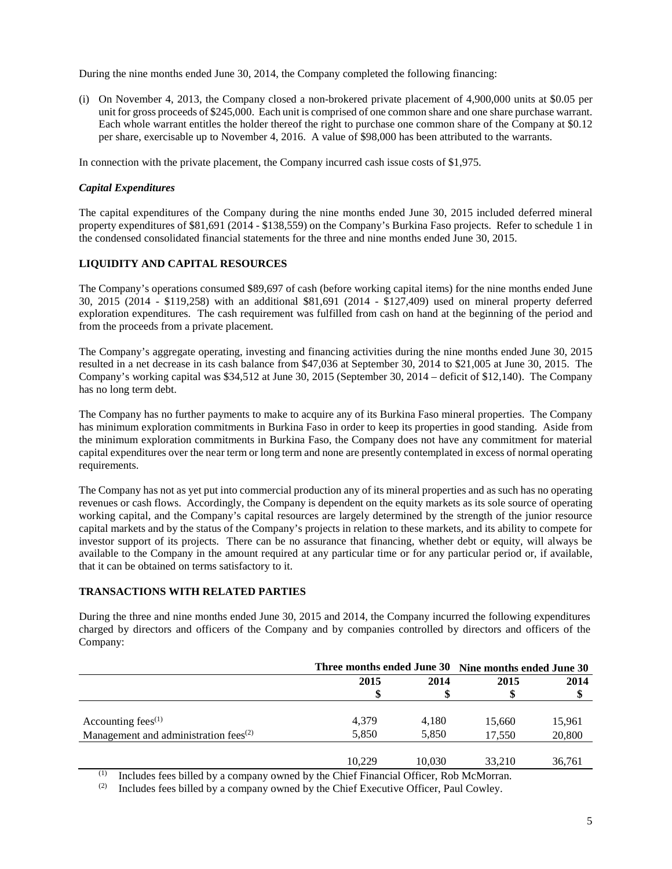During the nine months ended June 30, 2014, the Company completed the following financing:

(i) On November 4, 2013, the Company closed a non-brokered private placement of 4,900,000 units at \$0.05 per unit for gross proceeds of \$245,000. Each unit is comprised of one common share and one share purchase warrant. Each whole warrant entitles the holder thereof the right to purchase one common share of the Company at \$0.12 per share, exercisable up to November 4, 2016. A value of \$98,000 has been attributed to the warrants.

In connection with the private placement, the Company incurred cash issue costs of \$1,975.

## *Capital Expenditures*

The capital expenditures of the Company during the nine months ended June 30, 2015 included deferred mineral property expenditures of \$81,691 (2014 - \$138,559) on the Company's Burkina Faso projects. Refer to schedule 1 in the condensed consolidated financial statements for the three and nine months ended June 30, 2015.

## **LIQUIDITY AND CAPITAL RESOURCES**

The Company's operations consumed \$89,697 of cash (before working capital items) for the nine months ended June 30, 2015 (2014 - \$119,258) with an additional \$81,691 (2014 - \$127,409) used on mineral property deferred exploration expenditures. The cash requirement was fulfilled from cash on hand at the beginning of the period and from the proceeds from a private placement.

The Company's aggregate operating, investing and financing activities during the nine months ended June 30, 2015 resulted in a net decrease in its cash balance from \$47,036 at September 30, 2014 to \$21,005 at June 30, 2015. The Company's working capital was \$34,512 at June 30, 2015 (September 30, 2014 – deficit of \$12,140). The Company has no long term debt.

The Company has no further payments to make to acquire any of its Burkina Faso mineral properties. The Company has minimum exploration commitments in Burkina Faso in order to keep its properties in good standing. Aside from the minimum exploration commitments in Burkina Faso, the Company does not have any commitment for material capital expenditures over the near term or long term and none are presently contemplated in excess of normal operating requirements.

The Company has not as yet put into commercial production any of its mineral properties and as such has no operating revenues or cash flows. Accordingly, the Company is dependent on the equity markets as its sole source of operating working capital, and the Company's capital resources are largely determined by the strength of the junior resource capital markets and by the status of the Company's projects in relation to these markets, and its ability to compete for investor support of its projects. There can be no assurance that financing, whether debt or equity, will always be available to the Company in the amount required at any particular time or for any particular period or, if available, that it can be obtained on terms satisfactory to it.

## **TRANSACTIONS WITH RELATED PARTIES**

During the three and nine months ended June 30, 2015 and 2014, the Company incurred the following expenditures charged by directors and officers of the Company and by companies controlled by directors and officers of the Company:

|                                                                                             |        | Three months ended June 30 Nine months ended June 30 |        |        |  |
|---------------------------------------------------------------------------------------------|--------|------------------------------------------------------|--------|--------|--|
|                                                                                             | 2015   | 2014                                                 | 2015   | 2014   |  |
|                                                                                             |        |                                                      |        |        |  |
|                                                                                             |        |                                                      |        |        |  |
| Accounting fees $(1)$                                                                       | 4,379  | 4.180                                                | 15.660 | 15.961 |  |
| Management and administration fees $(2)$                                                    | 5.850  | 5.850                                                | 17.550 | 20,800 |  |
|                                                                                             |        |                                                      |        |        |  |
|                                                                                             | 10.229 | 10.030                                               | 33.210 | 36,761 |  |
| (1)<br>Includes fees billed by a company owned by the Chief Einancial Officer, Rob McMorran |        |                                                      |        |        |  |

Includes fees billed by a company owned by the Chief Financial Officer, Rob McMorran.

 $(2)$  Includes fees billed by a company owned by the Chief Executive Officer, Paul Cowley.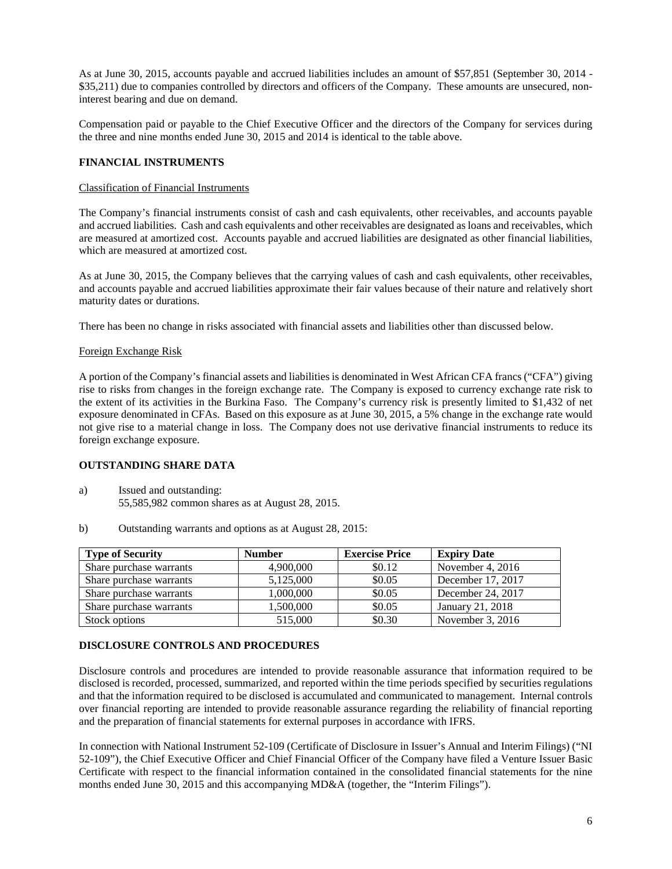As at June 30, 2015, accounts payable and accrued liabilities includes an amount of \$57,851 (September 30, 2014 - \$35,211) due to companies controlled by directors and officers of the Company. These amounts are unsecured, noninterest bearing and due on demand.

Compensation paid or payable to the Chief Executive Officer and the directors of the Company for services during the three and nine months ended June 30, 2015 and 2014 is identical to the table above.

## **FINANCIAL INSTRUMENTS**

## Classification of Financial Instruments

The Company's financial instruments consist of cash and cash equivalents, other receivables, and accounts payable and accrued liabilities. Cash and cash equivalents and other receivables are designated as loans and receivables, which are measured at amortized cost. Accounts payable and accrued liabilities are designated as other financial liabilities, which are measured at amortized cost.

As at June 30, 2015, the Company believes that the carrying values of cash and cash equivalents, other receivables, and accounts payable and accrued liabilities approximate their fair values because of their nature and relatively short maturity dates or durations.

There has been no change in risks associated with financial assets and liabilities other than discussed below.

## Foreign Exchange Risk

A portion of the Company's financial assets and liabilities is denominated in West African CFA francs ("CFA") giving rise to risks from changes in the foreign exchange rate. The Company is exposed to currency exchange rate risk to the extent of its activities in the Burkina Faso. The Company's currency risk is presently limited to \$1,432 of net exposure denominated in CFAs. Based on this exposure as at June 30, 2015, a 5% change in the exchange rate would not give rise to a material change in loss. The Company does not use derivative financial instruments to reduce its foreign exchange exposure.

# **OUTSTANDING SHARE DATA**

- a) Issued and outstanding: 55,585,982 common shares as at August 28, 2015.
- b) Outstanding warrants and options as at August 28, 2015:

| <b>Type of Security</b> | <b>Number</b> | <b>Exercise Price</b> | <b>Expiry Date</b> |
|-------------------------|---------------|-----------------------|--------------------|
| Share purchase warrants | 4,900,000     | \$0.12                | November 4, 2016   |
| Share purchase warrants | 5,125,000     | \$0.05                | December 17, 2017  |
| Share purchase warrants | 1,000,000     | \$0.05                | December 24, 2017  |
| Share purchase warrants | 1.500.000     | \$0.05                | January 21, 2018   |
| Stock options           | 515,000       | \$0.30                | November 3, 2016   |

## **DISCLOSURE CONTROLS AND PROCEDURES**

Disclosure controls and procedures are intended to provide reasonable assurance that information required to be disclosed is recorded, processed, summarized, and reported within the time periods specified by securities regulations and that the information required to be disclosed is accumulated and communicated to management. Internal controls over financial reporting are intended to provide reasonable assurance regarding the reliability of financial reporting and the preparation of financial statements for external purposes in accordance with IFRS.

In connection with National Instrument 52-109 (Certificate of Disclosure in Issuer's Annual and Interim Filings) ("NI 52-109"), the Chief Executive Officer and Chief Financial Officer of the Company have filed a Venture Issuer Basic Certificate with respect to the financial information contained in the consolidated financial statements for the nine months ended June 30, 2015 and this accompanying MD&A (together, the "Interim Filings").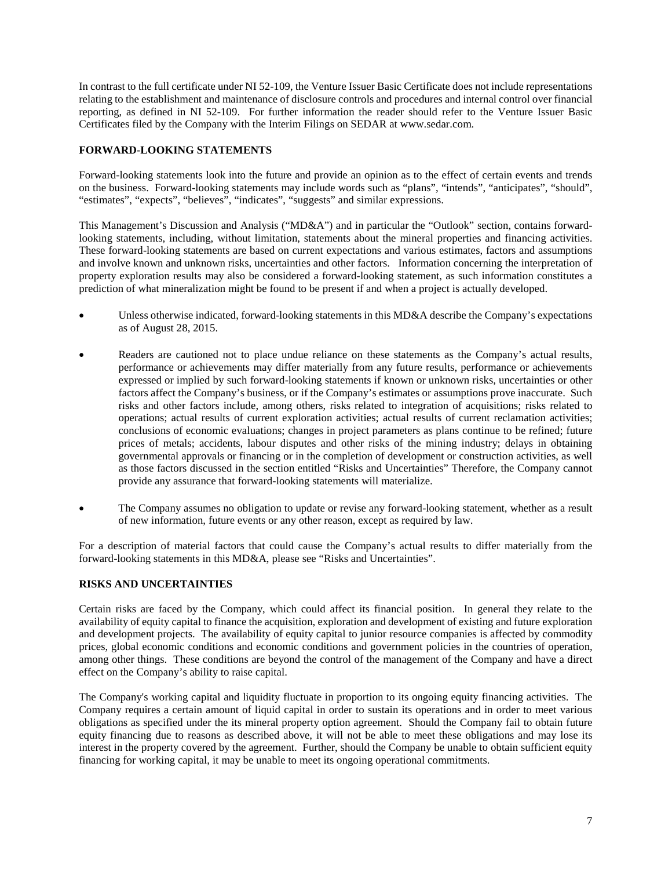In contrast to the full certificate under NI 52-109, the Venture Issuer Basic Certificate does not include representations relating to the establishment and maintenance of disclosure controls and procedures and internal control over financial reporting, as defined in NI 52-109. For further information the reader should refer to the Venture Issuer Basic Certificates filed by the Company with the Interim Filings on SEDAR at www.sedar.com.

## **FORWARD-LOOKING STATEMENTS**

Forward-looking statements look into the future and provide an opinion as to the effect of certain events and trends on the business. Forward-looking statements may include words such as "plans", "intends", "anticipates", "should", "estimates", "expects", "believes", "indicates", "suggests" and similar expressions.

This Management's Discussion and Analysis ("MD&A") and in particular the "Outlook" section, contains forwardlooking statements, including, without limitation, statements about the mineral properties and financing activities. These forward-looking statements are based on current expectations and various estimates, factors and assumptions and involve known and unknown risks, uncertainties and other factors. Information concerning the interpretation of property exploration results may also be considered a forward-looking statement, as such information constitutes a prediction of what mineralization might be found to be present if and when a project is actually developed.

- Unless otherwise indicated, forward-looking statements in this MD&A describe the Company's expectations as of August 28, 2015.
- Readers are cautioned not to place undue reliance on these statements as the Company's actual results, performance or achievements may differ materially from any future results, performance or achievements expressed or implied by such forward-looking statements if known or unknown risks, uncertainties or other factors affect the Company's business, or if the Company's estimates or assumptions prove inaccurate. Such risks and other factors include, among others, risks related to integration of acquisitions; risks related to operations; actual results of current exploration activities; actual results of current reclamation activities; conclusions of economic evaluations; changes in project parameters as plans continue to be refined; future prices of metals; accidents, labour disputes and other risks of the mining industry; delays in obtaining governmental approvals or financing or in the completion of development or construction activities, as well as those factors discussed in the section entitled "Risks and Uncertainties" Therefore, the Company cannot provide any assurance that forward-looking statements will materialize.
- The Company assumes no obligation to update or revise any forward-looking statement, whether as a result of new information, future events or any other reason, except as required by law.

For a description of material factors that could cause the Company's actual results to differ materially from the forward-looking statements in this MD&A, please see "Risks and Uncertainties".

#### **RISKS AND UNCERTAINTIES**

Certain risks are faced by the Company, which could affect its financial position. In general they relate to the availability of equity capital to finance the acquisition, exploration and development of existing and future exploration and development projects. The availability of equity capital to junior resource companies is affected by commodity prices, global economic conditions and economic conditions and government policies in the countries of operation, among other things. These conditions are beyond the control of the management of the Company and have a direct effect on the Company's ability to raise capital.

The Company's working capital and liquidity fluctuate in proportion to its ongoing equity financing activities. The Company requires a certain amount of liquid capital in order to sustain its operations and in order to meet various obligations as specified under the its mineral property option agreement. Should the Company fail to obtain future equity financing due to reasons as described above, it will not be able to meet these obligations and may lose its interest in the property covered by the agreement. Further, should the Company be unable to obtain sufficient equity financing for working capital, it may be unable to meet its ongoing operational commitments.